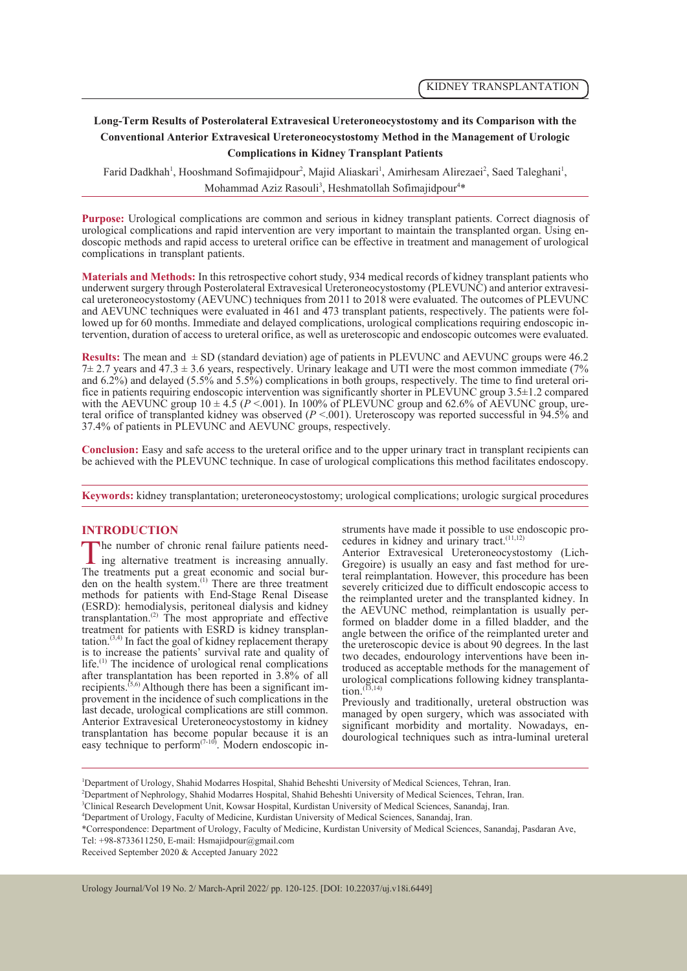# **Long-Term Results of Posterolateral Extravesical Ureteroneocystostomy and its Comparison with the Conventional Anterior Extravesical Ureteroneocystostomy Method in the Management of Urologic Complications in Kidney Transplant Patients**

Farid Dadkhah<sup>1</sup>, Hooshmand Sofimajidpour<sup>2</sup>, Majid Aliaskari<sup>1</sup>, Amirhesam Alirezaei<sup>2</sup>, Saed Taleghani<sup>1</sup>, Mohammad Aziz Rasouli<sup>3</sup>, Heshmatollah Sofimajidpour<sup>4\*</sup>

**Purpose:** Urological complications are common and serious in kidney transplant patients. Correct diagnosis of urological complications and rapid intervention are very important to maintain the transplanted organ. Using en-<br>doscopic methods and rapid access to ureteral orifice can be effective in treatment and management of urologi complications in transplant patients.

**Materials and Methods:** In this retrospective cohort study, 934 medical records of kidney transplant patients who underwent surgery through Posterolateral Extravesical Ureteroneocystostomy (PLEVUNC) and anterior extravesi cal ureteroneocystostomy (AEVUNC) techniques from 2011 to 2018 were evaluated. The outcomes of PLEVUNC and AEVUNC techniques were evaluated in 461 and 473 transplant patients, respectively. The patients were followed up for 60 months. Immediate and delayed complications, urological complications requiring endoscopic in-<br>tervention, duration of access to ureteral orifice, as well as ureteroscopic and endoscopic outcomes were evalu

**Results:** The mean and  $\pm$  SD (standard deviation) age of patients in PLEVUNC and AEVUNC groups were 46.2 7± 2.7 years and 47.3 ± 3.6 years, respectively. Urinary leakage and UTI were the most common immediate (7% and 6.2%) and delayed (5.5% and 5.5%) complications in both groups, respectively. The time to find ureteral ori-<br>fice in patients requiring endoscopic intervention was significantly shorter in PLEVUNC group 3.5±1.2 compar teral orifice of transplanted kidney was observed ( $P < .001$ ). Ureteroscopy was reported successful in 94.5% and 37.4% of patients in PLEVUNC and AEVUNC groups, respectively.

**Conclusion:** Easy and safe access to the ureteral orifice and to the upper urinary tract in transplant recipients can be achieved with the PLEVUNC technique. In case of urological complications this method facilitates endoscopy.

**Keywords:** kidney transplantation; ureteroneocystostomy; urological complications; urologic surgical procedures

#### **INTRODUCTION**

The number of chronic renal failure patients need-<br>ing alternative treatment is increasing annually.<br>The treatments put a great economic and social bur- $\perp$  ing alternative treatment is increasing annually. den on the health system.<sup>(1)</sup> There are three treatment methods for patients with End-Stage Renal Disease (ESRD): hemodialysis, peritoneal dialysis and kidney transplantation.<sup>(2)</sup> The most appropriate and effective treatment for patients with ESRD is kidney transplantation.<sup> $(3,4)$ </sup> In fact the goal of kidney replacement therapy is to increase the patients' survival rate and quality of life.<sup>(1)</sup> The incidence of urological renal complications after transplantation has been reported in 3.8% of all recipients.<sup> $(5,6)$ </sup> Although there has been a significant im-<br>provement in the incidence of such complications in the last decade, urological complications are still common. Anterior Extravesical Ureteroneocystostomy in kidney transplantation has become popular because it is an easy technique to perform $^{(7-10)}$ . Modern endoscopic instruments have made it possible to use endoscopic pro-<br>cedures in kidney and urinary tract.<sup>(11,12)</sup>

Anterior Extravesical Ureteroneocystostomy (Lich-Gregoire) is usually an easy and fast method for ure- teral reimplantation. However, this procedure has been severely criticized due to difficult endoscopic access to the reimplanted ureter and the transplanted kidney. In the AEVUNC method, reimplantation is usually per- formed on bladder dome in a filled bladder, and the angle between the orifice of the reimplanted ureter and the ureteroscopic device is about 90 degrees. In the last two decades, endourology interventions have been introduced as acceptable methods for the management of urological complications following kidney transplanta-<br>tion.<sup>(13,14)</sup>

Previously and traditionally, ureteral obstruction was managed by open surgery, which was associated with significant morbidity and mortality. Nowadays, endourological techniques such as intra-luminal ureteral

2 Department of Nephrology, Shahid Modarres Hospital, Shahid Beheshti University of Medical Sciences, Tehran, Iran.

3 Clinical Research Development Unit, Kowsar Hospital, Kurdistan University of Medical Sciences, Sanandaj, Iran.

\*Correspondence: Department of Urology, Faculty of Medicine, Kurdistan University of Medical Sciences, Sanandaj, Pasdaran Ave, Tel: +98-8733611250, E-mail: Hsmajidpour@gmail.com

Received September 2020 & Accepted January 2022

<sup>1</sup> Department of Urology, Shahid Modarres Hospital, Shahid Beheshti University of Medical Sciences, Tehran, Iran.

<sup>4</sup> Department of Urology, Faculty of Medicine, Kurdistan University of Medical Sciences, Sanandaj, Iran.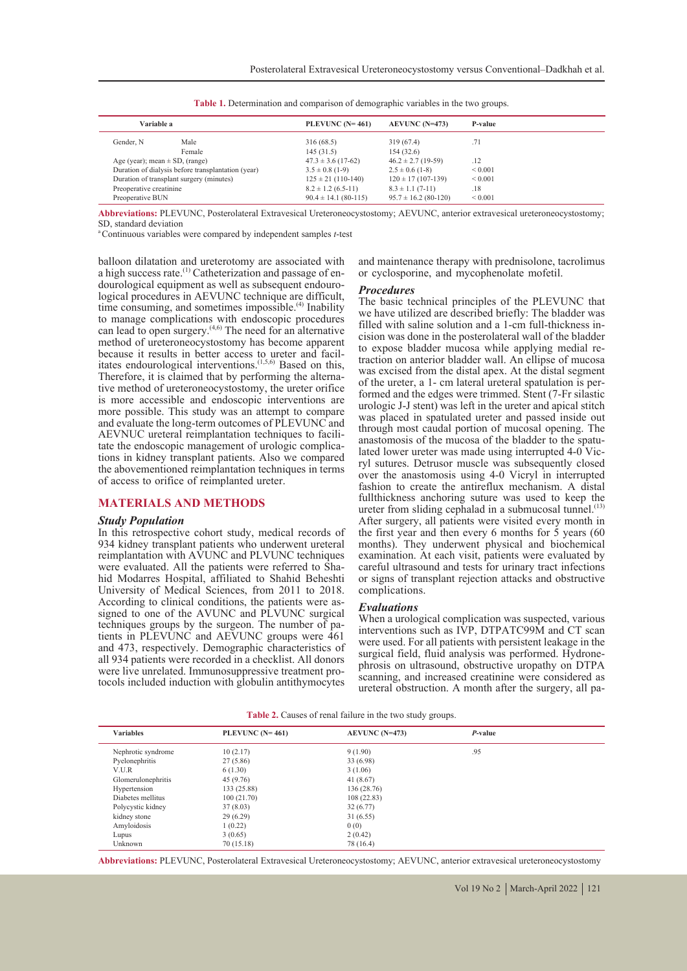| Variable a                                         |        | PLEVUNC $(N=461)$        | $AEVUNC (N=473)$         | P-value      |
|----------------------------------------------------|--------|--------------------------|--------------------------|--------------|
| Gender, N                                          | Male   | 316(68.5)                | 319 (67.4)               | .71          |
|                                                    | Female | 145(31.5)                | 154(32.6)                |              |
| Age (year); mean $\pm$ SD, (range)                 |        | $47.3 \pm 3.6$ (17-62)   | $46.2 \pm 2.7$ (19-59)   | .12          |
| Duration of dialysis before transplantation (year) |        | $3.5 \pm 0.8$ (1-9)      | $2.5 \pm 0.6$ (1-8)      | ${}_{0.001}$ |
| Duration of transplant surgery (minutes)           |        | $125 \pm 21$ (110-140)   | $120 \pm 17(107 - 139)$  | ${}_{0.001}$ |
| Preoperative creatinine                            |        | $8.2 \pm 1.2$ (6.5-11)   | $8.3 \pm 1.1 (7-11)$     | .18          |
| Preoperative BUN                                   |        | $90.4 \pm 14.1$ (80-115) | $95.7 \pm 16.2$ (80-120) | ${}_{0.001}$ |
|                                                    |        |                          |                          |              |

**Table 1.** Determination and comparison of demographic variables in the two groups.

**Abbreviations:** PLEVUNC, Posterolateral Extravesical Ureteroneocystostomy; AEVUNC, anterior extravesical ureteroneocystostomy; SD, standard deviation

a Continuous variables were compared by independent samples *t*-test

balloon dilatation and ureterotomy are associated with a high success rate.<sup>(1)</sup> Catheterization and passage of en-<br>dourological equipment as well as subsequent endouro-<br>logical procedures in AEVUNC technique are difficult, time consuming, and sometimes impossible.<sup>(4)</sup> Inability to manage complications with endoscopic procedures can lead to open surgery.(4,6) The need for an alternative method of ureteroneocystostomy has become apparent because it results in better access to ureter and facilbecause it results in better access to ureter and facil-<br>itates endourological interventions.<sup>(1,5,6)</sup> Based on this,<br>Therefore, it is claimed that by performing the alternative method of ureteroneocystostomy, the ureter orifice is more accessible and endoscopic interventions are more possible. This study was an attempt to compare and evaluate the long-term outcomes of PLEVUNC and AEVNUC ureteral reimplantation techniques to facilitate the endoscopic management of urologic complications in kidney transplant patients. Also we compared the abovementioned reimplantation techniques in terms of access to orifice of reimplanted ureter.

#### **MATERIALS AND METHODS**

#### *Study Population*

In this retrospective cohort study, medical records of 934 kidney transplant patients who underwent ureteral reimplantation with AVUNC and PLVUNC techniques were evaluated. All the patients were referred to Sha-<br>hid Modarres Hospital, affiliated to Shahid Beheshti University of Medical Sciences, from 2011 to 2018.<br>According to clinical conditions, the patients were assigned to one of the AVUNC and PLVUNC surgical techniques groups by the surgeon. The number of patients in PLEVUNC and AEVUNC groups were 461 and 473, respectively. Demographic characteristics of all 934 patients were recorded in a checklist. All donors were live unrelated. Immunosuppressive treatment pro-<br>tocols included induction with globulin antithymocytes

and maintenance therapy with prednisolone, tacrolimus or cyclosporine, and mycophenolate mofetil.

#### *Procedures*

The basic technical principles of the PLEVUNC that we have utilized are described briefly: The bladder was filled with saline solution and a 1-cm full-thickness in- cision was done in the posterolateral wall of the bladder traction on anterior bladder wall. An ellipse of mucosa was excised from the distal apex. At the distal segment of the ureter, a 1- cm lateral ureteral spatulation is per- formed and the edges were trimmed. Stent (7-Fr silastic urologic J-J stent) was left in the ureter and apical stitch was placed in spatulated ureter and passed inside out through most caudal portion of mucosal opening. The lated lower ureter was made using interrupted 4-0 Vic-<br>ryl sutures. Detrusor muscle was subsequently closed over the anastomosis using 4-0 Vicryl in interrupted fashion to create the antireflux mechanism. A distal fullthickness anchoring suture was used to keep the ureter from sliding cephalad in a submucosal tunnel.<sup>(13)</sup> After surgery, all patients were visited every month in the first year and then every 6 months for 5 years (60 months). They underwent physical and biochemical examination. At each visit, patients were evaluated by careful ultrasound and tests for urinary tract infections or signs of transplant rejection attacks and obstructive complications.

#### *Evaluations*

When a urological complication was suspected, various interventions such as IVP, DTPATC99M and CT scan were used. For all patients with persistent leakage in the surgical field, fluid analysis was performed. Hydronephrosis on ultrasound, obstructive uropathy on DTPA scanning, and increased creatinine were considered as ureteral obstruction. A month after the surgery, all pa-

| <b>Variables</b>   | PLEVUNC $(N=461)$ | $AEVUNC (N=473)$ | $P$ -value |  |
|--------------------|-------------------|------------------|------------|--|
| Nephrotic syndrome | 10(2.17)          | 9(1.90)          | .95        |  |
| Pyelonephritis     | 27 (5.86)         | 33 (6.98)        |            |  |
| V.U.R              | 6(1.30)           | 3(1.06)          |            |  |
| Glomerulonephritis | 45 (9.76)         | 41(8.67)         |            |  |
| Hypertension       | 133 (25.88)       | 136(28.76)       |            |  |
| Diabetes mellitus  | 100(21.70)        | 108(22.83)       |            |  |
| Polycystic kidney  | 37 (8.03)         | 32(6.77)         |            |  |
| kidney stone       | 29(6.29)          | 31(6.55)         |            |  |
| Amyloidosis        | 1(0.22)           | 0(0)             |            |  |
| Lupus              | 3(0.65)           | 2(0.42)          |            |  |
| Unknown            | 70 (15.18)        | 78 (16.4)        |            |  |

**Table 2.** Causes of renal failure in the two study groups.

**Abbreviations:** PLEVUNC, Posterolateral Extravesical Ureteroneocystostomy; AEVUNC, anterior extravesical ureteroneocystostomy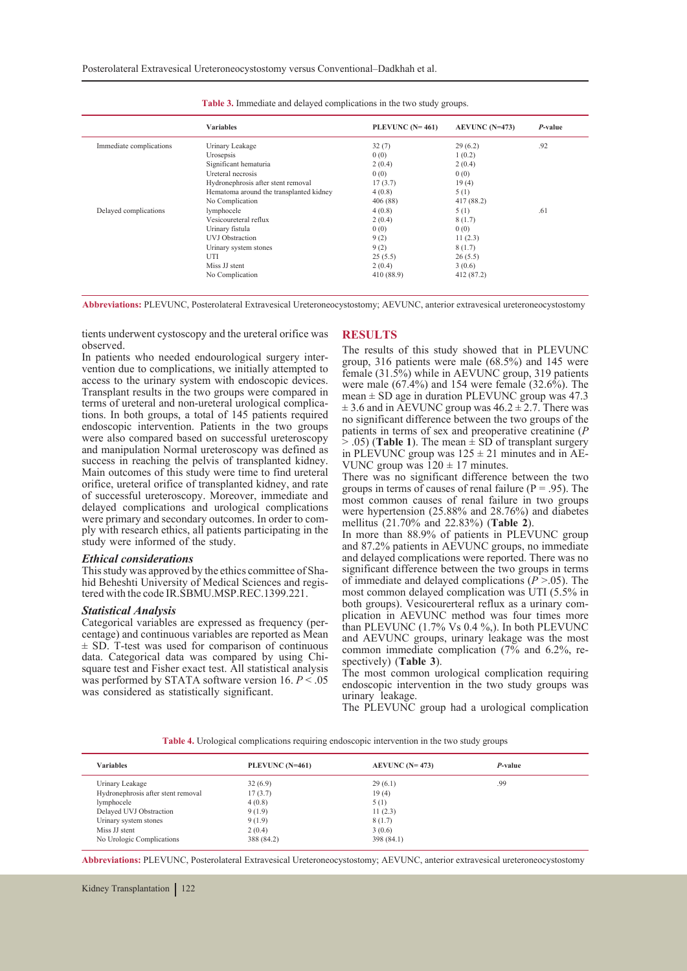|                         | <b>Variables</b>                        | PLEVUNC $(N=461)$ | $AEVUNC (N=473)$ | $P$ -value |
|-------------------------|-----------------------------------------|-------------------|------------------|------------|
| Immediate complications | Urinary Leakage                         | 32(7)             | 29(6.2)          | .92        |
|                         | Urosepsis                               | 0(0)              | 1(0.2)           |            |
|                         | Significant hematuria                   | 2(0.4)            | 2(0.4)           |            |
|                         | Ureteral necrosis                       | 0(0)              | 0(0)             |            |
|                         | Hydronephrosis after stent removal      | 17(3.7)           | 19(4)            |            |
|                         | Hematoma around the transplanted kidney | 4(0.8)            | 5(1)             |            |
|                         | No Complication                         | 406 (88)          | 417 (88.2)       |            |
| Delayed complications   | lymphocele                              | 4(0.8)            | 5(1)             | .61        |
|                         | Vesicoureteral reflux                   | 2(0.4)            | 8(1.7)           |            |
|                         | Urinary fistula                         | 0(0)              | 0(0)             |            |
|                         | <b>UVJ</b> Obstraction                  | 9(2)              | 11(2.3)          |            |
|                         | Urinary system stones                   | 9(2)              | 8(1.7)           |            |
|                         | UTI                                     | 25(5.5)           | 26(5.5)          |            |
|                         | Miss JJ stent                           | 2(0.4)            | 3(0.6)           |            |
|                         | No Complication                         | 410 (88.9)        | 412 (87.2)       |            |

**Table 3.** Immediate and delayed complications in the two study groups.

**Abbreviations:** PLEVUNC, Posterolateral Extravesical Ureteroneocystostomy; AEVUNC, anterior extravesical ureteroneocystostomy

tients underwent cystoscopy and the ureteral orifice was observed.

In patients who needed endourological surgery inter- vention due to complications, we initially attempted to access to the urinary system with endoscopic devices. Transplant results in the two groups were compared in tions. In both groups, a total of 145 patients required endoscopic intervention. Patients in the two groups were also compared based on successful ureteroscopy and manipulation Normal ureteroscopy was defined as success in reaching the pelvis of transplanted kidney. Main outcomes of this study were time to find ureteral orifice, ureteral orifice of transplanted kidney, and rate of successful ureteroscopy. Moreover, immediate and delayed complications and urological complications were primary and secondary outcomes. In order to comply with research ethics, all patients participating in the study were informed of the study.

*Ethical considerations* hid Beheshti University of Medical Sciences and regis-<br>tered with the code IR.SBMU.MSP.REC.1399.221.

## *Statistical Analysis*

Categorical variables are expressed as frequency (per- centage) and continuous variables are reported as Mean  $\pm$  SD. T-test was used for comparison of continuous data. Categorical data was compared by using Chisquare test and Fisher exact test. All statistical analysis was performed by STATA software version 16. *P* < .05 was considered as statistically significant.

#### **RESULTS**

The results of this study showed that in PLEVUNC group, 316 patients were male (68.5%) and 145 were female (31.5%) while in AEVUNC group, 319 patients were male  $(67.4\%)$  and 154 were female  $(32.6\%)$ . The mean  $\pm$  SD age in duration PLEVUNC group was 47.3  $\pm$  3.6 and in AEVUNC group was 46.2  $\pm$  2.7. There was no significant difference between the two groups of the patients in terms of sex and preoperative creatinine (*P*   $>$  .05) (**Table 1**). The mean  $\pm$  SD of transplant surgery in PLEVUNC group was  $125 \pm 21$  minutes and in AE-VUNC group was  $120 \pm 17$  minutes.

There was no significant difference between the two groups in terms of causes of renal failure ( $P = .95$ ). The most common causes of renal failure in two groups were hypertension (25.88% and 28.76%) and diabetes mellitus (21.70% and 22.83%) (**Table 2**).

In more than 88.9% of patients in PLEVUNC group and 87.2% patients in AEVUNC groups, no immediate and delayed complications were reported. There was no significant difference between the two groups in terms of immediate and delayed complications (*P* >.05). The most common delayed complication was UTI (5.5% in both groups). Vesicourerteral reflux as a urinary complication in AEVUNC method was four times more than PLEVUNC (1.7% Vs 0.4 %,). In both PLEVUNC and AEVUNC groups, urinary leakage was the most common immediate complication (7% and 6.2%, re- spectively) (**Table 3**).

The most common urological complication requiring endoscopic intervention in the two study groups was urinary leakage.

The PLEVUNC group had a urological complication

**Table 4.** Urological complications requiring endoscopic intervention in the two study groups

| <b>Variables</b>                   | PLEVUNC (N=461) | AEVUNC $(N=473)$ | P-value |
|------------------------------------|-----------------|------------------|---------|
| Urinary Leakage                    | 32(6.9)         | 29(6.1)          | .99     |
| Hydronephrosis after stent removal | 17(3.7)         | 19(4)            |         |
| lymphocele                         | 4(0.8)          | 5(1)             |         |
| Delayed UVJ Obstraction            | 9(1.9)          | 11(2.3)          |         |
| Urinary system stones              | 9(1.9)          | 8(1.7)           |         |
| Miss JJ stent                      | 2(0.4)          | 3(0.6)           |         |
| No Urologic Complications          | 388 (84.2)      | 398 (84.1)       |         |

**Abbreviations:** PLEVUNC, Posterolateral Extravesical Ureteroneocystostomy; AEVUNC, anterior extravesical ureteroneocystostomy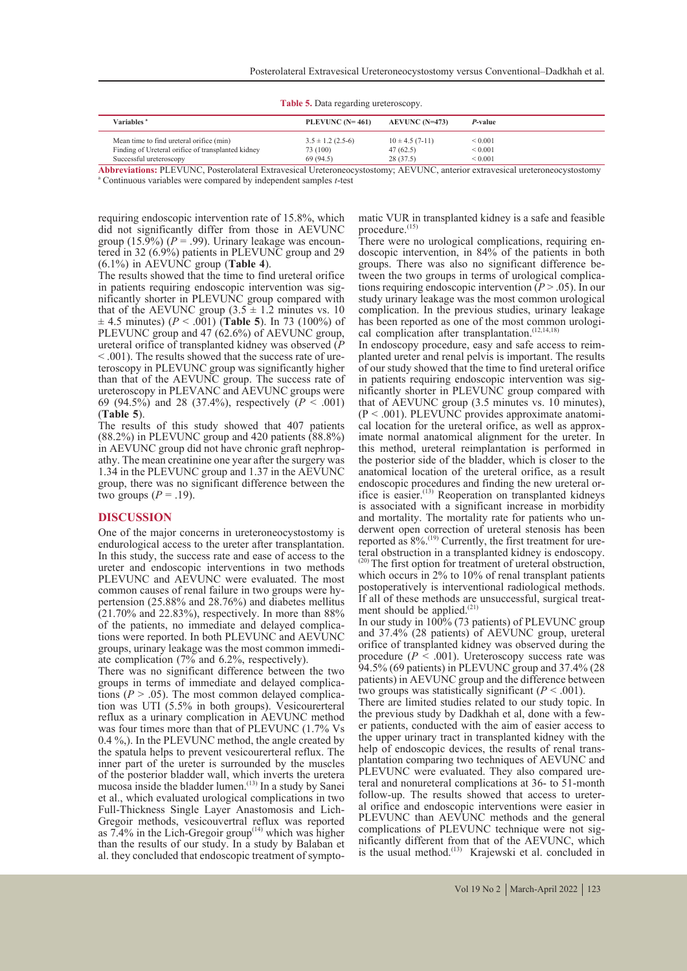| <b>Table 5.</b> Data regarding ureteroscopy.                                                                                                                                                                                                                |                       |                    |              |  |  |
|-------------------------------------------------------------------------------------------------------------------------------------------------------------------------------------------------------------------------------------------------------------|-----------------------|--------------------|--------------|--|--|
| Variables <sup>a</sup>                                                                                                                                                                                                                                      | PLEVUNC $(N=461)$     | $AEVUNC (N=473)$   | P-value      |  |  |
| Mean time to find ureteral orifice (min)                                                                                                                                                                                                                    | $3.5 \pm 1.2$ (2.5-6) | $10 \pm 4.5(7-11)$ | ${}_{0.001}$ |  |  |
| Finding of Ureteral orifice of transplanted kidney                                                                                                                                                                                                          | 73 (100)              | 47(62.5)           | ${}_{0.001}$ |  |  |
| Successful ureteroscopy                                                                                                                                                                                                                                     | 69(94.5)              | 28(37.5)           | ${}_{0.001}$ |  |  |
| $\lambda$ is the second international property of $\lambda$ in $\lambda$ is a second international property of $\lambda$ is a second international property of $\lambda$ is a second international property of $\lambda$ is a second international property |                       |                    |              |  |  |

**Abbreviations:** PLEVUNC, Posterolateral Extravesical Ureteroneocystostomy; AEVUNC, anterior extravesical ureteroneocystostomy <sup>a</sup> Continuous variables were compared by independent samples *t*-test

requiring endoscopic intervention rate of 15.8%, which did not significantly differ from those in AEVUNC group (15.9%) ( $P = .99$ ). Urinary leakage was encountered in 32 (6.9%) patients in PLEVUNC group and 29 (6.1%) in AEVUNC group (**Table 4**).

The results showed that the time to find ureteral orifice<br>in patients requiring endoscopic intervention was siginficantly shorter in PLEVUNC group compared with that of the AEVUNC group  $(3.5 \pm 1.2 \text{ minutes vs. } 10$  $\pm$  4.5 minutes) (*P* < .001) (**Table 5**). In 73 (100%) of PLEVUNC group and 47 (62.6%) of AEVUNC group, ureteral orifice of transplanted kidney was observed  $(P < .001)$ . The results showed that the success rate of ureteroscopy in PLEVUNC group was significantly higher than that of the AEVUNC group. The success rate of ureteroscopy in PLEVANC and AEVUNC groups were 69 (94.5%) and 28 (37.4%), respectively  $(P \le 0.001)$ (**Table 5**).

The results of this study showed that 407 patients (88.2%) in PLEVUNC group and 420 patients (88.8%) athy. The mean creatinine one year after the surgery was 1.34 in the PLEVUNC group and 1.37 in the AEVUNC group, there was no significant difference between the two groups  $(P = .19)$ .

## **DISCUSSION**

One of the major concerns in ureteroneocystostomy is endurological access to the ureter after transplantation. In this study, the success rate and ease of access to the ureter and endoscopic interventions in two methods PLEVUNC and AEVUNC were evaluated. The most common causes of renal failure in two groups were hypertension  $(25.88\%$  and  $28.76\%)$  and diabetes mellitus  $(21.70\%$  and  $22.83\%)$ , respectively. In more than 88% of the patients, no immediate and delayed complications were reported. In both PLEVUNC and AEVUNC groups, urinary leakage was the most common immedi- ate complication (7% and 6.2%, respectively).

There was no significant difference between the two groups in terms of immediate and delayed complications  $(P > .05)$ . The most common delayed complication was UTI (5.5% in both groups). Vesicourerteral reflux as a urinary complication in AEVUNC method was four times more than that of PLEVUNC (1.7% Vs 0.4 %,). In the PLEVUNC method, the angle created by the spatula helps to prevent vesicourerteral reflux. The inner part of the ureter is surrounded by the muscles of the posterior bladder wall, which inverts the uretera mucosa inside the bladder lumen. $(13)$  In a study by Sanei et al., which evaluated urological complications in two Full-Thickness Single Layer Anastomosis and Lich-Gregoir methods, vesicouvertral reflux was reported as  $7.4\%$  in the Lich-Gregoir group<sup> $(14)$ </sup> which was higher than the results of our study. In a study by Balaban et al. they concluded that endoscopic treatment of symptomatic VUR in transplanted kidney is a safe and feasible procedure.<sup>(15)</sup><br>There were no urological complications, requiring en-

doscopic intervention, in 84% of the patients in both groups. There was also no significant difference between the two groups in terms of urological complications requiring endoscopic intervention ( $P > .05$ ). In our study urinary leakage was the most common urological complication. In the previous studies, urinary leakage has been reported as one of the most common urological complication after transplantation.<sup> $(12,14,18)$ </sup>

In endoscopy procedure, easy and safe access to reim- planted ureter and renal pelvis is important. The results of our study showed that the time to find ureteral orifice in patients requiring endoscopic intervention was significantly shorter in PLEVUNC group compared with that of AEVUNC group (3.5 minutes vs. 10 minutes),  $(P < .001)$ . PLEVUNC provides approximate anatomiexteed to cal location for the ureteral orifice, as well as approximate normal anatomical alignment for the ureter. In this method, ureteral reimplantation is performed in the posterior side of the bladder, which is closer to the anatomical location of the ureteral orifice, as a result ifice is easier. $(13)$  Reoperation on transplanted kidneys is associated with a significant increase in morbidity and mortality. The mortality rate for patients who underwent open correction of ureteral stenosis has been reported as  $8\%$ .<sup>(19)</sup> Currently, the first treatment for ure-<br>teral obstruction in a transplanted kidney is endoscopy. (20) The first option for treatment of ureteral obstruction, which occurs in 2% to 10% of renal transplant patients postoperatively is interventional radiological methods. If all of these methods are unsuccessful, surgical treat-<br>ment should be applied.<sup>(21)</sup>

In our study in 100% (73 patients) of PLEVUNC group and 37.4% (28 patients) of AEVUNC group, ureteral orifice of transplanted kidney was observed during the procedure  $(P \le 0.001)$ . Ureteroscopy success rate was 94.5% (69 patients) in PLEVUNC group and 37.4% (28 patients) in AEVUNC group and the difference between two groups was statistically significant  $(P < .001)$ .

There are limited studies related to our study topic. In the previous study by Dadkhah et al, done with a fewer patients, conducted with the aim of easier access to the upper urinary tract in transplanted kidney with the help of endoscopic devices, the results of renal transplantation comparing two techniques of AEVUNC and PLEVUNC were evaluated. They also compared ure-<br>teral and nonureteral complications at 36- to 51-month<br>follow-up. The results showed that access to ureteral orifice and endoscopic interventions were easier in PLEVUNC than AEVUNC methods and the general complications of PLEVUNC technique were not significantly different from that of the AEVUNC, which is the usual method.<sup>(13)</sup> Krajewski et al. concluded in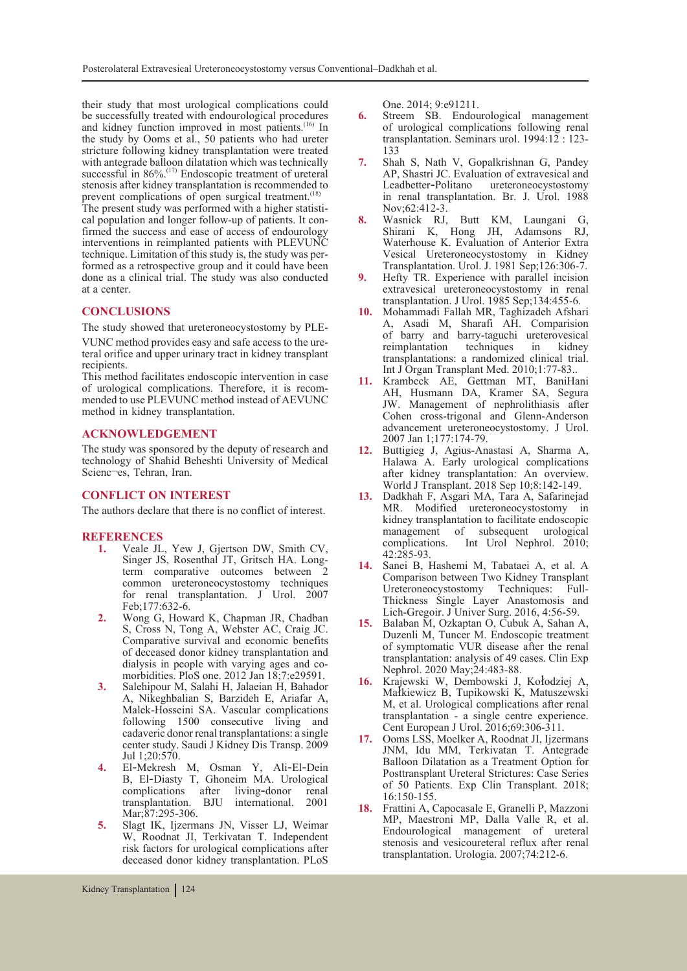their study that most urological complications could be successfully treated with endourological procedures and kidney function improved in most patients.<sup>(16)</sup> In the study by Ooms et al., 50 patients who had ureter stricture following kidney transplantation were treated with antegrade balloon dilatation which was technically successful in 86%.<sup>(17)</sup> Endoscopic treatment of ureteral stenosis after kidney transplantation is recommended to prevent complications of open surgical treatment.<sup>(18)</sup><br>The present study was performed with a higher statisti-

cal population and longer follow-up of patients. It con-<br>firmed the success and ease of access of endourology interventions in reimplanted patients with PLEVUNC technique. Limitation of this study is, the study was performed as a retrospective group and it could have been done as a clinical trial. The study was also conducted at a center.

# **CONCLUSIONS**

The study showed that ureteroneocystostomy by PLE-VUNC method provides easy and safe access to the ure- teral orifice and upper urinary tract in kidney transplant recipients.

This method facilitates endoscopic intervention in case of urological complications. Therefore, it is recom- mended to use PLEVUNC method instead of AEVUNC method in kidney transplantation.

# **ACKNOWLEDGEMENT**

The study was sponsored by the deputy of research and technology of Shahid Beheshti University of Medical Scienc¬es, Tehran, Iran.

# **CONFLICT ON INTEREST**

The authors declare that there is no conflict of interest.

# **REFERENCES**<br>1. Veale JI.

- **1.** Veale JL, Yew J, Gjertson DW, Smith CV, Singer JS, Rosenthal JT, Gritsch HA. Longterm comparative outcomes between 2 common ureteroneocystostomy techniques for renal transplantation. J Urol. 2007 Feb;177:632-6.
- **2.** Wong G, Howard K, Chapman JR, Chadban S, Cross N, Tong A, Webster AC, Craig JC. Comparative survival and economic benefits of deceased donor kidney transplantation and dialysis in people with varying ages and comorbidities. PloS one. 2012 Jan 18;7:e29591.
- **3.** Salehipour M, Salahi H, Jalaeian H, Bahador A, Nikeghbalian S, Barzideh E, Ariafar A, Malek-Hosseini SA. Vascular complications following 1500 consecutive living and cadaveric donor renal transplantations: a single center study. Saudi J Kidney Dis Transp. 2009 Jul 1;20:570.
- **4.** El‐Mekresh M, Osman Y, Ali‐El‐Dein B, El‐Diasty T, Ghoneim MA. Urological complications after living-donor renal transplantation. BJU international. 2001 Mar;87:295-306.
- **5.** Slagt IK, Ijzermans JN, Visser LJ, Weimar W, Roodnat JI, Terkivatan T. Independent risk factors for urological complications after deceased donor kidney transplantation. PLoS

One. 2014; 9:e91211.

- **6.** Streem SB. Endourological management of urological complications following renal transplantation. Seminars urol. 1994:12 : 123- 133
- **7.** Shah S, Nath V, Gopalkrishnan G, Pandey AP, Shastri JC. Evaluation of extravesical and Leadbetter‐Politano ureteroneocystostomy in renal transplantation. Br. J. Urol. 1988 Nov;62:412-3.
- **8.** Wasnick RJ, Butt KM, Laungani G, Shirani K, Hong JH, Adamsons RJ, Waterhouse K. Evaluation of Anterior Extra Vesical Ureteroneocystostomy in Kidney Transplantation. Urol. J. 1981 Sep;126:306-7.
- **9.** Hefty TR. Experience with parallel incision extravesical ureteroneocystostomy in renal transplantation. J Urol. 1985 Sep;134:455-6.
- **10.** Mohammadi Fallah MR, Taghizadeh Afshari A, Asadi M, Sharafi AH. Comparision of barry and barry-taguchi ureterovesical reimplantation techniques in kidney transplantations: a randomized clinical trial. Int J Organ Transplant Med. 2010;1:77-83..
- **11.** Krambeck AE, Gettman MT, BaniHani AH, Husmann DA, Kramer SA, Segura JW. Management of nephrolithiasis after Cohen cross-trigonal and Glenn-Anderson advancement ureteroneocystostomy. J Urol. 2007 Jan 1;177:174-79.
- **12.** Buttigieg J, Agius-Anastasi A, Sharma A, Halawa A. Early urological complications after kidney transplantation: An overview. World J Transplant. 2018 Sep 10;8:142-149.
- **13.** Dadkhah F, Asgari MA, Tara A, Safarinejad MR. Modified ureteroneocystostomy in kidney transplantation to facilitate endoscopic management of subsequent urological<br>complications. Int Urol Nephrol. 2010; Int Urol Nephrol. 2010; 42:285-93.
- **14.** Sanei B, Hashemi M, Tabataei A, et al. A Comparison between Two Kidney Transplant Ureteroneocystostomy Thickness Single Layer Anastomosis and Lich-Gregoir. J Univer Surg. 2016, 4:56-59.
- **15.** Balaban M, Ozkaptan O, Cubuk A, Sahan A, Duzenli M, Tuncer M. Endoscopic treatment of symptomatic VUR disease after the renal transplantation: analysis of 49 cases. Clin Exp Nephrol. 2020 May;24:483-88.
- **16.** Krajewski W, Dembowski J, Kołodziej A, Małkiewicz B, Tupikowski K, Matuszewski M, et al. Urological complications after renal transplantation - a single centre experience. Cent European J Urol. 2016;69:306-311.
- **17.** Ooms LSS, Moelker A, Roodnat JI, Ijzermans JNM, Idu MM, Terkivatan T. Antegrade Balloon Dilatation as a Treatment Option for Posttransplant Ureteral Strictures: Case Series of 50 Patients. Exp Clin Transplant. 2018; 16:150-155.
- **18.** Frattini A, Capocasale E, Granelli P, Mazzoni MP, Maestroni MP, Dalla Valle R, et al. Endourological management of ureteral stenosis and vesicoureteral reflux after renal transplantation. Urologia. 2007;74:212-6.